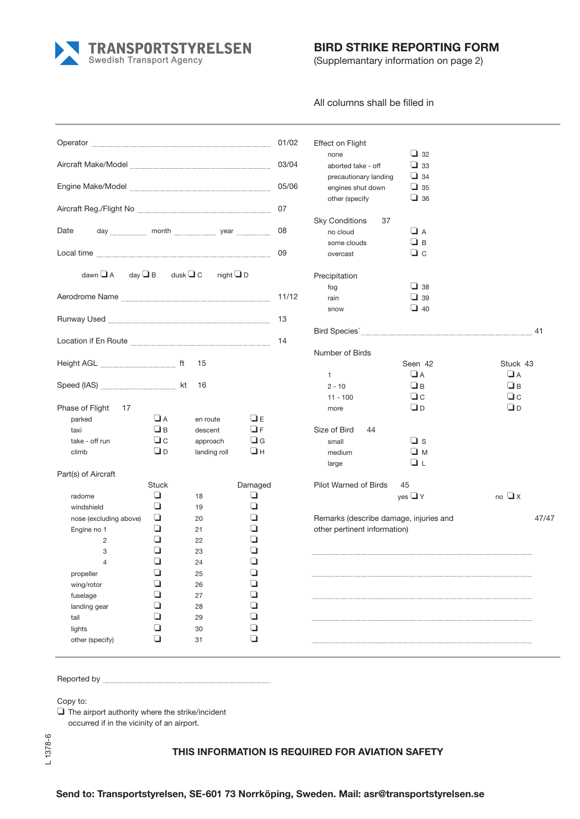**TRANSPORTSTYRELSEN**<br>Swedish Transport Agency

## **BIRD STRIKE REPORTING FORM**

(Supplemantary information on page 2)

All columns shall be filled in

| Operator                                                                                                                                                                                                                             |           |                |          | 01/02 | Effect on Flight                       |                      |                                                                            |       |
|--------------------------------------------------------------------------------------------------------------------------------------------------------------------------------------------------------------------------------------|-----------|----------------|----------|-------|----------------------------------------|----------------------|----------------------------------------------------------------------------|-------|
|                                                                                                                                                                                                                                      |           |                |          |       | none                                   | $\Box$ 32            |                                                                            |       |
|                                                                                                                                                                                                                                      |           |                |          | 03/04 | aborted take - off                     | $\Box$ 33            |                                                                            |       |
|                                                                                                                                                                                                                                      |           |                |          | 05/06 | precautionary landing                  | $\Box$ 34            |                                                                            |       |
| Engine Make/Model <b>Engine Make/Model</b> 2008                                                                                                                                                                                      |           |                |          |       | engines shut down                      | $\Box$ 35            |                                                                            |       |
|                                                                                                                                                                                                                                      |           |                |          | 07    | other (specify                         | $\Box$ 36            |                                                                            |       |
| Aircraft Reg./Flight No <b>with the Community of the Contract Of Tensor</b>                                                                                                                                                          |           |                |          |       |                                        |                      |                                                                            |       |
| Date                                                                                                                                                                                                                                 |           |                |          | 08    | <b>Sky Conditions</b><br>37            |                      |                                                                            |       |
| day month year year                                                                                                                                                                                                                  |           |                |          |       | no cloud                               | $\Box$ A<br>$\Box$ B |                                                                            |       |
|                                                                                                                                                                                                                                      |           |                |          | 09    | some clouds                            |                      |                                                                            |       |
| Local time                                                                                                                                                                                                                           |           |                |          |       | overcast                               | $\Box$ c             |                                                                            |       |
| dawn $\Box$ A day $\Box$ B dusk $\Box$ C                                                                                                                                                                                             |           | night $\Box$ D |          |       | Precipitation                          |                      |                                                                            |       |
|                                                                                                                                                                                                                                      |           |                |          |       | fog                                    | $\Box$ 38            |                                                                            |       |
| Aerodrome Name                                                                                                                                                                                                                       |           |                |          | 11/12 | rain                                   | $\Box$ 39            |                                                                            |       |
|                                                                                                                                                                                                                                      |           |                |          |       | snow                                   | $\Box$ 40            |                                                                            |       |
| Runway Used <b>with the contract of the contract of the contract of the contract of the contract of the contract of the contract of the contract of the contract of the contract of the contract of the contract of the contract</b> |           |                |          | 13    |                                        |                      |                                                                            |       |
|                                                                                                                                                                                                                                      |           |                |          |       |                                        |                      |                                                                            | 41    |
| Location if En Route <b>Constanting Contract Constanting Constanting Constanting Constanting Constanting Constanting Constanting Constanting Constanting Constanting Constanting Constanting Constanting Constanting Constanting</b> |           |                |          | 14    |                                        |                      |                                                                            |       |
|                                                                                                                                                                                                                                      |           |                |          |       | Number of Birds                        |                      |                                                                            |       |
| Height AGL <b>Manual</b> ft                                                                                                                                                                                                          |           | 15             |          |       |                                        | Seen 42              | Stuck 43                                                                   |       |
|                                                                                                                                                                                                                                      |           |                |          |       | $\mathbf{1}$                           | $\Box$ A             | $\Box$ A                                                                   |       |
| Speed (IAS) <b>Manual</b> Kt                                                                                                                                                                                                         |           | 16             |          |       | $2 - 10$                               | $\Box$ B             | $\Box$ B                                                                   |       |
|                                                                                                                                                                                                                                      |           |                |          |       | 11 - 100                               | $\Box c$             | $\Box c$                                                                   |       |
| Phase of Flight 17                                                                                                                                                                                                                   |           |                |          |       | more                                   | $\Box$ D             | O∟                                                                         |       |
| parked                                                                                                                                                                                                                               | $\Box$ A  | en route       | $\Box$ E |       |                                        |                      |                                                                            |       |
| taxi                                                                                                                                                                                                                                 | $\Box$ B  | descent        | $\Box$ F |       | Size of Bird<br>44                     |                      |                                                                            |       |
| take - off run                                                                                                                                                                                                                       | $\Box c$  | approach       | $\Box$ G |       | small                                  | $\Box$ s             |                                                                            |       |
| climb                                                                                                                                                                                                                                | <b>OD</b> | landing roll   | ⊔н       |       | medium                                 | $\square$ M          |                                                                            |       |
|                                                                                                                                                                                                                                      |           |                |          |       | large                                  | ❏ι                   |                                                                            |       |
| Part(s) of Aircraft                                                                                                                                                                                                                  |           |                |          |       |                                        |                      |                                                                            |       |
|                                                                                                                                                                                                                                      | Stuck     |                | Damaged  |       | Pilot Warned of Birds                  | 45                   |                                                                            |       |
| radome                                                                                                                                                                                                                               | ❏         | 18             | ❏        |       |                                        | yes $\Box$ Y         | $\overline{a}$ $\overline{a}$ $\overline{a}$ $\overline{a}$ $\overline{a}$ |       |
| windshield                                                                                                                                                                                                                           | ❏         | 19             | ❏        |       |                                        |                      |                                                                            |       |
| nose (excluding above)                                                                                                                                                                                                               | ❏         | 20             | ❏        |       | Remarks (describe damage, injuries and |                      |                                                                            | 47/47 |
| Engine no 1                                                                                                                                                                                                                          | ❏         | 21             | ❏        |       | other pertinent information)           |                      |                                                                            |       |
| 2                                                                                                                                                                                                                                    | ❏         | 22             | ❏        |       |                                        |                      |                                                                            |       |
| 3                                                                                                                                                                                                                                    | ❏         | 23             | ❏        |       |                                        |                      |                                                                            |       |
| 4                                                                                                                                                                                                                                    | ❏         | 24             | $\Box$   |       |                                        |                      |                                                                            |       |
| propeller                                                                                                                                                                                                                            | $\Box$    | 25             | $\Box$   |       |                                        |                      |                                                                            |       |
| wing/rotor                                                                                                                                                                                                                           | ❏         | 26             | $\Box$   |       |                                        |                      |                                                                            |       |
| fuselage                                                                                                                                                                                                                             | ❏         | 27             | ❏        |       |                                        |                      |                                                                            |       |
| landing gear                                                                                                                                                                                                                         | ❏         | 28             | ❏        |       |                                        |                      |                                                                            |       |
| tail                                                                                                                                                                                                                                 | ❏         | 29             | ❏        |       |                                        |                      |                                                                            |       |
| lights                                                                                                                                                                                                                               | ❏         | 30             | ❏        |       |                                        |                      |                                                                            |       |
| other (specify)                                                                                                                                                                                                                      | ❏         | 31             | $\Box$   |       |                                        |                      |                                                                            |       |
|                                                                                                                                                                                                                                      |           |                |          |       |                                        |                      |                                                                            |       |

Reported by **Executive Executive Executive Executive Executive Executive Executive Executive Executive Executive Executive Executive Executive Executive Executive Executive Executive Executive Executive Executive Executive** 

Copy to:

The airport authority where the strike/incident ❏ occurred if in the vicinity of an airport.

## **THIS INFORMATION IS REQUIRED FOR AVIATION SAFETY**